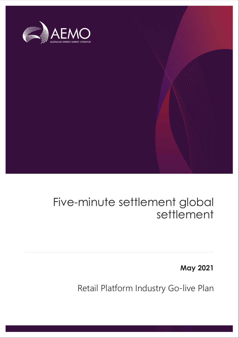

# Five-minute settlement global settlement

**May 2021**

Retail Platform Industry Go-live Plan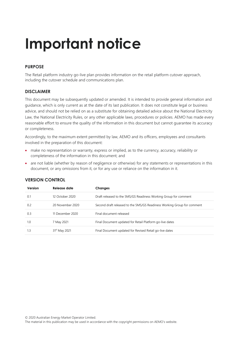# **Important notice**

#### **PURPOSE**

The Retail platform industry go-live plan provides information on the retail platform cutover approach, including the cutover schedule and communications plan.

#### **DISCLAIMER**

This document may be subsequently updated or amended. It is intended to provide general information and guidance, which is only current as at the date of its last publication. It does not constitute legal or business advice, and should not be relied on as a substitute for obtaining detailed advice about the National Electricity Law, the National Electricity Rules, or any other applicable laws, procedures or policies. AEMO has made every reasonable effort to ensure the quality of the information in this document but cannot guarantee its accuracy or completeness.

Accordingly, to the maximum extent permitted by law, AEMO and its officers, employees and consultants involved in the preparation of this document:

- make no representation or warranty, express or implied, as to the currency, accuracy, reliability or completeness of the information in this document; and
- are not liable (whether by reason of negligence or otherwise) for any statements or representations in this document, or any omissions from it, or for any use or reliance on the information in it.

| Version | Release date              | <b>Changes</b>                                                          |
|---------|---------------------------|-------------------------------------------------------------------------|
| 0.1     | 12 October 2020           | Draft released to the 5MS/GS Readiness Working Group for comment        |
| 0.2     | 20 November 2020          | Second draft released to the 5MS/GS Readiness Working Group for comment |
| 0.3     | 11 December 2020          | Final document released                                                 |
| 1.0     | 7 May 2021                | Final Document updated for Retail Platform go-live dates                |
| 1.3     | 31 <sup>st</sup> May 2021 | Final Document updated for Revised Retail go-live dates                 |

#### **VERSION CONTROL**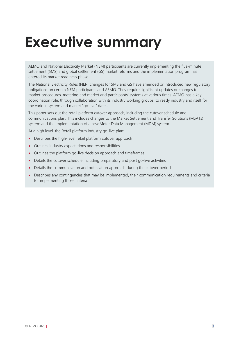# <span id="page-2-0"></span>**Executive summary**

AEMO and National Electricity Market (NEM) participants are currently implementing the five-minute settlement (5MS) and global settlement (GS) market reforms and the implementation program has entered its market readiness phase.

The National Electricity Rules (NER) changes for 5MS and GS have amended or introduced new regulatory obligations on certain NEM participants and AEMO. They require significant updates or changes to market procedures, metering and market and participants' systems at various times. AEMO has a key coordination role, through collaboration with its industry working groups, to ready industry and itself for the various system and market "go-live" dates.

This paper sets out the retail platform cutover approach, including the cutover schedule and communications plan. This includes changes to the Market Settlement and Transfer Solutions (MSATs) system and the implementation of a new Meter Data Management (MDM) system.

At a high level, the Retail platform industry go-live plan:

- Describes the high-level retail platform cutover approach
- Outlines industry expectations and responsibilities
- Outlines the platform go-live decision approach and timeframes
- Details the cutover schedule including preparatory and post go-live activities
- Details the communication and notification approach during the cutover period
- Describes any contingencies that may be implemented, their communication requirements and criteria for implementing those criteria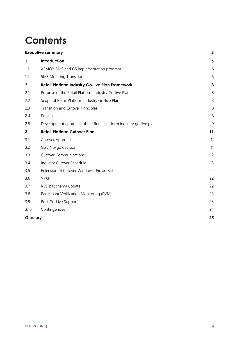# **Contents**

|          | <b>Executive summary</b>                                          | $\mathbf{3}$   |
|----------|-------------------------------------------------------------------|----------------|
| 1.       | Introduction                                                      | 6              |
| 1.1      | AEMO's 5MS and GS implementation program                          | 6              |
| 1.2      | <b>5MS Metering Transition</b>                                    | 6              |
| 2.       | <b>Retail Platform Industry Go-live Plan Framework</b>            | 8              |
| 2.1      | Purpose of the Retail Platform Industry Go-live Plan              | 8              |
| 2.2      | Scope of Retail Platform Industry Go-live Plan                    | $\,8\,$        |
| 2.3      | Transition and Cutover Principles                                 | 8              |
| 2.4      | Principles                                                        | 8              |
| 2.5      | Development approach of the Retail platform industry go-live plan | $\overline{9}$ |
| 3.       | <b>Retail Platform Cutover Plan</b>                               | 11             |
| 3.1      | Cutover Approach                                                  | 11             |
| 3.2      | Go / No-go decision                                               | 11             |
| 3.3      | <b>Cutover Communications</b>                                     | 12             |
| 3.4      | Industry Cutover Schedule                                         | 13             |
| 3.5      | Extension of Cutover Window - Fix on Fail                         | 22             |
| 3.6      | <b>VPXP</b>                                                       | 22             |
| 3.7      | R39_p1 schema update                                              | 22             |
| 3.8      | Participant Verification Monitoring (PVM)                         | 23             |
| 3.9      | Post Go-Live Support                                              | 23             |
| 3.10     | Contingencies                                                     | 24             |
| Glossary |                                                                   | 25             |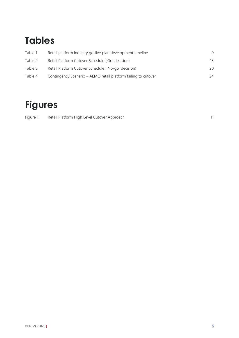# **Tables**

| Table 1 | Retail platform industry go-live plan development timeline     | q  |
|---------|----------------------------------------------------------------|----|
| Table 2 | Retail Platform Cutover Schedule ('Go' decision)               | 13 |
| Table 3 | Retail Platform Cutover Schedule ('No-go' decision)            | 20 |
| Table 4 | Contingency Scenario – AEMO retail platform failing to cutover | 24 |

# **Figures**

| Figure 1 | Retail Platform High Level Cutover Approach |  |
|----------|---------------------------------------------|--|
|          |                                             |  |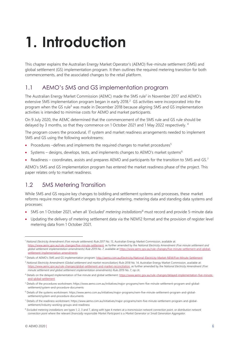# <span id="page-5-0"></span>**1. Introduction**

This chapter explains the Australian Energy Market Operator's (AEMO) five-minute settlement (5MS) and global settlement (GS) implementation program. It then outlines the required metering transition for both commencements, and the associated changes to the retail platform.

## <span id="page-5-1"></span>1.1 AEMO's 5MS and GS implementation program

The Australian Energy Market Commission (AEMC) made the 5MS rule<sup>1</sup> in November 2017 and AEMO's extensive 5MS implementation program began in early 2018.<sup>2</sup> GS activities were incorporated into the program when the GS rule<sup>3</sup> was made in December 2018 because aligning 5MS and GS implementation activities is intended to minimise costs for AEMO and market participants.

On 9 July 2020, the AEMC determined that the commencement of the 5MS rule and GS rule should be delayed by 3 months, so that they commence on 1 October 2021 and 1 May 2022 respectively. <sup>4</sup>

The program covers the procedural, IT system and market readiness arrangements needed to implement 5MS and GS using the following workstreams:

- Procedures –defines and implements the required changes to market procedures<sup>5</sup>
- Systems designs, develops, tests, and implements changes to AEMO's market systems<sup>6</sup>
- Readiness coordinates, assists and prepares AEMO and participants for the transition to 5MS and GS.<sup>7</sup>

AEMO's 5MS and GS implementation program has entered the market readiness phase of the project. This paper relates only to market readiness.

## <span id="page-5-2"></span>1.2 5MS Metering Transition

While 5MS and GS require key changes to bidding and settlement systems and processes, these market reforms require more significant changes to physical metering, metering data and standing data systems and processes:

- 5MS on 1 October 2021, when all '*Excluded' metering installations*<sup>8</sup> must record and provide 5-minute data
- Updating the delivery of metering settlement data via the NEM12 format and the provision of register level metering data from 1 October 2021.

<sup>&</sup>lt;sup>1</sup> National Electricity Amendment (Five minute settlement) Rule 2017 No. 15, Australian Energy Market Commission, available at: [https://www.aemc.gov.au/rule-changes/five-minute-settlement,](https://www.aemc.gov.au/rule-changes/five-minute-settlement) as further amended by the *National Electricity Amendment (Five minute settlement and global settlement implementation amendments) Rule 2019 No. 7*, available at [https://www.aemc.gov.au/rule-changes/five-minute-settlement-and-global](https://www.aemc.gov.au/rule-changes/five-minute-settlement-and-global-settlement-implementation-amendments)[settlement-implementation-amendments](https://www.aemc.gov.au/rule-changes/five-minute-settlement-and-global-settlement-implementation-amendments)

<sup>&</sup>lt;sup>2</sup> Details of AEMO's 5MS and GS implementation program: <http://aemo.com.au/Electricity/National-Electricity-Market-NEM/Five-Minute-Settlement>

<sup>3</sup> *National Electricity Amendment (Global settlement and market reconciliation) Rule 2018 No. 14*, Australian Energy Market Commission, available at: [https://www.aemc.gov.au/rule-changes/global-settlement-and-market-reconciliation,](https://www.aemc.gov.au/rule-changes/global-settlement-and-market-reconciliation) as further amended by the *National Electricity Amendment (Five minute settlement and global settlement implementation amendments) Rule 2019 No. 7*, op cit.

<sup>4</sup> Details on the delayed implementation of five minute and global settlement[: https://www.aemc.gov.au/rule-changes/delayed-implementation-five-minute](https://www.aemc.gov.au/rule-changes/delayed-implementation-five-minute-and-global-settlement)[and-global-settlement](https://www.aemc.gov.au/rule-changes/delayed-implementation-five-minute-and-global-settlement)

<sup>5</sup> Details of the procedures workstream: https://www.aemo.com.au/initiatives/major-programs/nem-five-minute-settlement-program-and-globalsettlement/system-and-procedure-documents

<sup>6</sup> Details of the systems workstream: https://www.aemo.com.au/initiatives/major-programs/nem-five-minute-settlement-program-and-globalsettlement/system-and-procedure-documents

<sup>7</sup> Details of the readiness workstream: https://www.aemo.com.au/initiatives/major-programs/nem-five-minute-settlement-program-and-globalsettlement/industry-working-groups-and-readiness

<sup>8</sup> *Excluded metering installations* are types 1, 2, 3 and 7, along with type 4 meters at a *transmission network connection point*, or *distribution network connection point* where the relevant *financially responsible Market Participant* is a *Market Generator* or *Small Generation Aggregator*.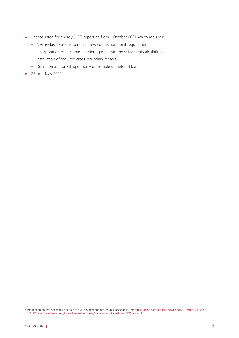- Unaccounted for energy (UFE) reporting from 1 October 2021, which requires:<sup>9</sup>
	- NMI reclassifications to reflect new connection point requirements
	- Incorporation of tier 1 basic metering data into the settlement calculation
	- Installation of required cross-boundary meters
	- Definition and profiling of non-contestable unmetered loads
- GS on 1 May 2022

<sup>9</sup> Information on these changes is set out in 5MS/GS metering procedures (package #2) at[: https://aemo.com.au/Electricity/National-Electricity-Market-](https://aemo.com.au/Electricity/National-Electricity-Market-NEM/Five-Minute-Settlement/Procedures-Workstream/Metering-package-2---MSATS-and-SLPs)[NEM/Five-Minute-Settlement/Procedures-Workstream/Metering-package-2---MSATS-and-SLPs](https://aemo.com.au/Electricity/National-Electricity-Market-NEM/Five-Minute-Settlement/Procedures-Workstream/Metering-package-2---MSATS-and-SLPs)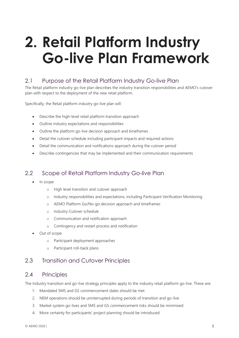# <span id="page-7-0"></span>**2. Retail Platform Industry Go-live Plan Framework**

### <span id="page-7-1"></span>2.1 Purpose of the Retail Platform Industry Go-live Plan

The Retail platform industry go-live plan describes the industry transition responsibilities and AEMO's cutover plan with respect to the deployment of the new retail platform.

Specifically, the Retail platform industry go-live plan will:

- Describe the high-level retail platform transition approach
- Outline industry expectations and responsibilities
- Outline the platform go-live decision approach and timeframes
- Detail the cutover schedule including participant impacts and required actions
- Detail the communication and notifications approach during the cutover period
- Describe contingencies that may be implemented and their communication requirements

#### <span id="page-7-2"></span>2.2 Scope of Retail Platform Industry Go-live Plan

- In scope
	- o High level transition and cutover approach
	- o Industry responsibilities and expectations, including Participant Verification Monitoring
	- o AEMO Platform Go/No-go decision approach and timeframes
	- o Industry Cutover schedule
	- o Communication and notification approach
	- o Contingency and restart process and notification
- Out of scope
	- o Participant deployment approaches
	- o Participant roll-back plans

#### <span id="page-7-4"></span><span id="page-7-3"></span>2.3 Transition and Cutover Principles

#### 2.4 Principles

The Industry transition and go-live strategy principles apply to the industry retail platform go-live. These are:

- 1. Mandated 5MS and GS commencement dates should be met
- 2. NEM operations should be uninterrupted during periods of transition and go-live
- 3. Market system go-lives and 5MS and GS commencement risks should be minimised
- 4. More certainty for participants' project planning should be introduced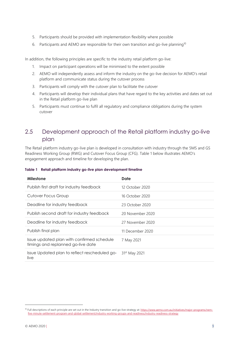- 5. Participants should be provided with implementation flexibility where possible
- 6. Participants and AEMO are responsible for their own transition and go-live planning<sup>10</sup>

In addition, the following principles are specific to the industry retail platform go-live:

- 1. Impact on participant operations will be minimised to the extent possible
- 2. AEMO will independently assess and inform the industry on the go-live decision for AEMO's retail platform and communicate status during the cutover process
- 3. Participants will comply with the cutover plan to facilitate the cutover
- 4. Participants will develop their individual plans that have regard to the key activities and dates set out in the Retail platform go-live plan
- 5. Participants must continue to fulfil all regulatory and compliance obligations during the system cutover

## <span id="page-8-0"></span>2.5 Development approach of the Retail platform industry go-live plan

The Retail platform industry go-live plan is developed in consultation with industry through the 5MS and GS Readiness Working Group (RWG) and Cutover Focus Group (CFG). Table 1 below illustrates AEMO's engagement approach and timeline for developing the plan.

#### <span id="page-8-1"></span>**Table 1 Retail platform industry go-live plan development timeline**

| Milestone                                                                        | Date                      |
|----------------------------------------------------------------------------------|---------------------------|
| Publish first draft for industry feedback                                        | 12 October 2020           |
| Cutover Focus Group                                                              | 16 October 2020           |
| Deadline for industry feedback                                                   | 23 October 2020           |
| Publish second draft for industry feedback                                       | 20 November 2020          |
| Deadline for industry feedback                                                   | 27 November 2020          |
| Publish final plan                                                               | 11 December 2020          |
| Issue updated plan with confirmed schedule<br>timings and replanned go-live date | 7 May 2021                |
| Issue Updated plan to reflect rescheduled go-<br>live                            | 31 <sup>st</sup> May 2021 |

<sup>10</sup> Full descriptions of each principle are set out in the Industry transition and go-live strategy at: https://www.aemo.com.au/initiatives/major-programs/nemfive-minute-settlement-program-and-global-settlement/industry-working-groups-and-readiness/industry-readiness-strategy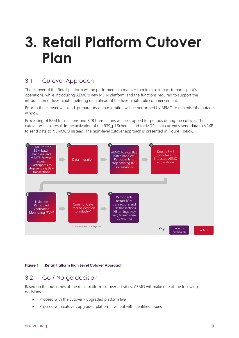# <span id="page-10-0"></span>**3. Retail Platform Cutover Plan**

## <span id="page-10-1"></span>3.1 Cutover Approach

The cutover of the Retail platform will be performed in a manner to minimise impact to participant's operations, while introducing AEMO's new MDM platform, and the functions required to support the introduction of five-minute metering data ahead of the five-minute rule commencement.

Prior to the cutover weekend, preparatory data migration will be performed by AEMO to minimise the outage window.

Processing of B2M transactions and B2B transactions will be stopped for periods during the cutover. The cutover will also result in the activation of the R39\_p1 Schema, and for MDPs that currently send data to VPXP to send data to NEMMCO instead. The high-level cutover approach is presented in Figure 1 below.



#### <span id="page-10-3"></span>**Figure 1 Retail Platform High Level Cutover Approach**

#### <span id="page-10-2"></span>3.2 Go / No-go decision

Based on the outcomes of the retail platform cutover activities, AEMO will make one of the following decisions:

- Proceed with the cutover upgraded platform live
- Proceed with cutover, upgraded platform live, but with identified issues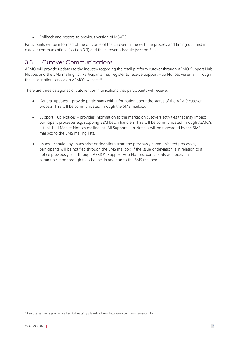Rollback and restore to previous version of MSATS

Participants will be informed of the outcome of the cutover in line with the process and timing outlined in cutover communications (section 3.3) and the cutover schedule (section 3.4).

### <span id="page-11-0"></span>3.3 Cutover Communications

AEMO will provide updates to the industry regarding the retail platform cutover through AEMO Support Hub Notices and the 5MS mailing list. Participants may register to receive Support Hub Notices via email through the subscription service on AEMO's website<sup>11</sup>.

There are three categories of cutover communications that participants will receive:

- General updates provide participants with information about the status of the AEMO cutover process. This will be communicated through the 5MS mailbox.
- Support Hub Notices provides information to the market on cutovers activities that may impact participant processes e.g. stopping B2M batch handlers. This will be communicated through AEMO's established Market Notices mailing list. All Support Hub Notices will be forwarded by the 5MS mailbox to the 5MS mailing lists.
- Issues should any issues arise or deviations from the previously communicated processes, participants will be notified through the 5MS mailbox. If the issue or deviation is in relation to a notice previously sent through AEMO's Support Hub Notices, participants will receive a communication through this channel in addition to the 5MS mailbox.

<sup>11</sup> Participants may register for Market Notices using this web address: https://www.aemo.com.au/subscribe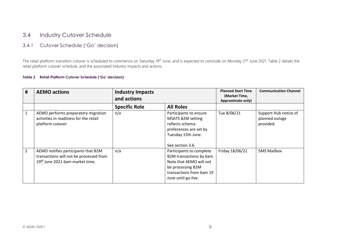## 3.4 Industry Cutover Schedule

#### 3.4.1 Cutover Schedule ('Go' decision)

The retail platform transition cutover is scheduled to commence on Saturday 19<sup>th</sup> June, and is expected to conclude on Monday 21<sup>st</sup> June 2021. Table 2 details the retail platform cutover schedule, and the associated industry impacts and actions.

#### **Table 2 Retail Platform Cutover Schedule ('Go' decision)**

<span id="page-12-1"></span><span id="page-12-0"></span>

| #              | <b>AEMO actions</b>                                                                                                           | <b>Industry Impacts</b><br>and actions |                                                                                                                                                         | <b>Planned Start Time</b><br>(Market Time,<br>Approximate only) | <b>Communication Channel</b>                         |
|----------------|-------------------------------------------------------------------------------------------------------------------------------|----------------------------------------|---------------------------------------------------------------------------------------------------------------------------------------------------------|-----------------------------------------------------------------|------------------------------------------------------|
|                |                                                                                                                               | <b>Specific Role</b>                   | <b>All Roles</b>                                                                                                                                        |                                                                 |                                                      |
| $\mathbf{1}$   | AEMO performs preparatory migration<br>activities in readiness for the retail<br>platform cutover                             | n/a                                    | Participants to ensure<br><b>MSATS B2M setting</b><br>reflects schema<br>preferences are set by<br>Tuesday 15th June.<br>See section 3.6.               | Tue 8/06/21                                                     | Support Hub notice of<br>planned outage<br>provided. |
| $\overline{2}$ | AEMO notifies participants that B2M<br>transactions will not be processed from<br>19 <sup>th</sup> June 2021 6am market time. | n/a                                    | Participants to complete<br>B2M transactions by 6am.<br>Note that AEMO will not<br>be processing B2M<br>transactions from 6am 19<br>June until go-live. | Friday 18/06/21                                                 | <b>5MS Mailbox</b>                                   |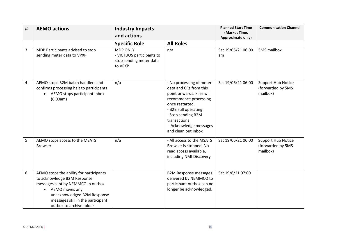| #              | <b>AEMO actions</b>                                                                                                                                                                                                                        | <b>Industry Impacts</b><br>and actions                                             |                                                                                                                                                                                                                                             | <b>Planned Start Time</b><br>(Market Time,<br><b>Approximate only)</b> | <b>Communication Channel</b>                               |
|----------------|--------------------------------------------------------------------------------------------------------------------------------------------------------------------------------------------------------------------------------------------|------------------------------------------------------------------------------------|---------------------------------------------------------------------------------------------------------------------------------------------------------------------------------------------------------------------------------------------|------------------------------------------------------------------------|------------------------------------------------------------|
|                |                                                                                                                                                                                                                                            | <b>Specific Role</b>                                                               | <b>All Roles</b>                                                                                                                                                                                                                            |                                                                        |                                                            |
| 3              | MDP Participants advised to stop<br>sending meter data to VPXP                                                                                                                                                                             | <b>MDP ONLY</b><br>- VICTUOS participants to<br>stop sending meter data<br>to VPXP | n/a                                                                                                                                                                                                                                         | Sat 19/06/21 06:00<br>am                                               | 5MS mailbox                                                |
| $\overline{4}$ | AEMO stops B2M batch handlers and<br>confirms processing halt to participants<br>AEMO stops participant inbox<br>(6.00am)                                                                                                                  | n/a                                                                                | - No processing of meter<br>data and CRs from this<br>point onwards. Files will<br>recommence processing<br>once restarted.<br>- B2B still operating<br>- Stop sending B2M<br>transactions<br>- Acknowledge messages<br>and clean out Inbox | Sat 19/06/21 06:00                                                     | <b>Support Hub Notice</b><br>(forwarded by 5MS<br>mailbox) |
| 5              | AEMO stops access to the MSATS<br><b>Browser</b>                                                                                                                                                                                           | n/a                                                                                | - All access to the MSATS<br>Browser is stopped. No<br>read access available,<br>including NMI Discovery                                                                                                                                    | Sat 19/06/21 06:00                                                     | <b>Support Hub Notice</b><br>(forwarded by 5MS<br>mailbox) |
| 6              | AEMO stops the ability for participants<br>to acknowledge B2M Response<br>messages sent by NEMMCO in outbox<br>AEMO moves any<br>$\bullet$<br>unacknowledged B2M Response<br>messages still in the participant<br>outbox to archive folder |                                                                                    | <b>B2M Response messages</b><br>delivered by NEMMCO to<br>participant outbox can no<br>longer be acknowledged.                                                                                                                              | Sat 19/6/21 07:00                                                      |                                                            |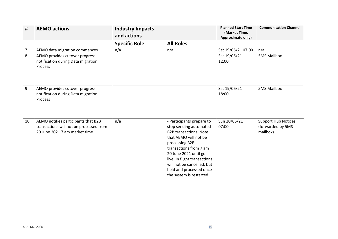| #  | <b>AEMO actions</b>                                                                                              | <b>Industry Impacts</b><br>and actions |                                                                                                                                                                                                                                                                                                          | <b>Planned Start Time</b><br>(Market Time,<br>Approximate only) | <b>Communication Channel</b>                                |
|----|------------------------------------------------------------------------------------------------------------------|----------------------------------------|----------------------------------------------------------------------------------------------------------------------------------------------------------------------------------------------------------------------------------------------------------------------------------------------------------|-----------------------------------------------------------------|-------------------------------------------------------------|
|    |                                                                                                                  | <b>Specific Role</b>                   | <b>All Roles</b>                                                                                                                                                                                                                                                                                         |                                                                 |                                                             |
| 7  | AEMO data migration commences                                                                                    | n/a                                    | n/a                                                                                                                                                                                                                                                                                                      | Sat 19/06/21 07:00                                              | n/a                                                         |
| 8  | AEMO provides cutover progress<br>notification during Data migration<br><b>Process</b>                           |                                        |                                                                                                                                                                                                                                                                                                          | Sat 19/06/21<br>12:00                                           | <b>5MS Mailbox</b>                                          |
| 9  | AEMO provides cutover progress<br>notification during Data migration<br><b>Process</b>                           |                                        |                                                                                                                                                                                                                                                                                                          | Sat 19/06/21<br>18:00                                           | <b>5MS Mailbox</b>                                          |
| 10 | AEMO notifies participants that B2B<br>transactions will not be processed from<br>20 June 2021 7 am market time. | n/a                                    | - Participants prepare to<br>stop sending automated<br><b>B2B transactions. Note</b><br>that AEMO will not be<br>processing B2B<br>transactions from 7 am<br>20 June 2021 until go-<br>live. In flight transactions<br>will not be cancelled, but<br>held and processed once<br>the system is restarted. | Sun 20/06/21<br>07:00                                           | <b>Support Hub Notices</b><br>(forwarded by 5MS<br>mailbox) |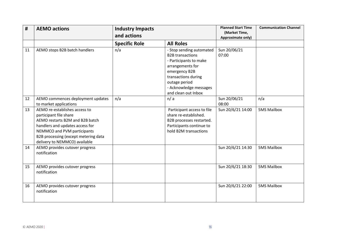| #  | <b>AEMO actions</b>                                                                                                                                                                                                                   | <b>Industry Impacts</b><br>and actions |                                                                                                                                                                                                             | <b>Planned Start Time</b><br>(Market Time,<br><b>Approximate only)</b> | <b>Communication Channel</b> |
|----|---------------------------------------------------------------------------------------------------------------------------------------------------------------------------------------------------------------------------------------|----------------------------------------|-------------------------------------------------------------------------------------------------------------------------------------------------------------------------------------------------------------|------------------------------------------------------------------------|------------------------------|
|    |                                                                                                                                                                                                                                       | <b>Specific Role</b>                   | <b>All Roles</b>                                                                                                                                                                                            |                                                                        |                              |
| 11 | AEMO stops B2B batch handlers                                                                                                                                                                                                         | n/a                                    | - Stop sending automated<br><b>B2B</b> transactions<br>- Participants to make<br>arrangements for<br>emergency B2B<br>transactions during<br>outage period<br>- Acknowledge messages<br>and clean out Inbox | Sun 20/06/21<br>07:00                                                  |                              |
| 12 | AEMO commences deployment updates<br>to market applications                                                                                                                                                                           | n/a                                    | n/a                                                                                                                                                                                                         | Sun 20/06/21<br>08:00                                                  | n/a                          |
| 13 | AEMO re-establishes access to<br>participant file share<br>AEMO restarts B2M and B2B batch<br>handlers and updates access for<br>NEMMCO and PVM participants<br>B2B processing (except metering data<br>delivery to NEMMCO) available |                                        | Participant access to file<br>share re-established.<br>B2B processes restarted.<br>Participants continue to<br>hold B2M transactions                                                                        | Sun 20/6/21 14:00                                                      | <b>5MS Mailbox</b>           |
| 14 | AEMO provides cutover progress<br>notification                                                                                                                                                                                        |                                        |                                                                                                                                                                                                             | Sun 20/6/21 14:30                                                      | <b>5MS Mailbox</b>           |
| 15 | AEMO provides cutover progress<br>notification                                                                                                                                                                                        |                                        |                                                                                                                                                                                                             | Sun 20/6/21 18:30                                                      | <b>5MS Mailbox</b>           |
| 16 | AEMO provides cutover progress<br>notification                                                                                                                                                                                        |                                        |                                                                                                                                                                                                             | Sun 20/6/21 22:00                                                      | <b>5MS Mailbox</b>           |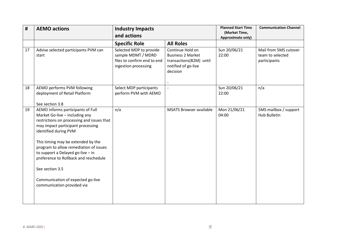| #  | <b>AEMO actions</b>                                                                                                                                                                                                                                                                                                                                                                                                                 | <b>Industry Impacts</b><br>and actions                                                               |                                                                                                            | <b>Planned Start Time</b><br>(Market Time,<br>Approximate only) | <b>Communication Channel</b>                              |
|----|-------------------------------------------------------------------------------------------------------------------------------------------------------------------------------------------------------------------------------------------------------------------------------------------------------------------------------------------------------------------------------------------------------------------------------------|------------------------------------------------------------------------------------------------------|------------------------------------------------------------------------------------------------------------|-----------------------------------------------------------------|-----------------------------------------------------------|
|    |                                                                                                                                                                                                                                                                                                                                                                                                                                     | <b>Specific Role</b>                                                                                 | <b>All Roles</b>                                                                                           |                                                                 |                                                           |
| 17 | Advise selected participants PVM can<br>start                                                                                                                                                                                                                                                                                                                                                                                       | Selected MDP to provide<br>sample MDMT / MDRD<br>files to confirm end to end<br>ingestion processing | Continue Hold on<br><b>Business 2 Market</b><br>transactions(B2M) until<br>notified of go-live<br>decision | Sun 20/06/21<br>22:00                                           | Mail from 5MS cutover<br>team to selected<br>participants |
| 18 | AEMO performs PVM following<br>deployment of Retail Platform<br>See section 3.8                                                                                                                                                                                                                                                                                                                                                     | Select MDP participants<br>perform PVM with AEMO                                                     | $\overline{\phantom{a}}$                                                                                   | Sun 20/06/21<br>22:00                                           | n/a                                                       |
| 19 | AEMO informs participants of Full<br>Market Go-live - including any<br>restrictions on processing and issues that<br>may impact participant processing<br>identified during PVM<br>This timing may be extended by the<br>program to allow remediation of issues<br>to support a Delayed go-live - in<br>preference to Rollback and reschedule<br>See section 3.5<br>Communication of expected go-live<br>communication provided via | n/a                                                                                                  | <b>MSATS Browser available</b>                                                                             | Mon 21/06/21<br>04:00                                           | 5MS mailbox / support<br><b>Hub Bulletin</b>              |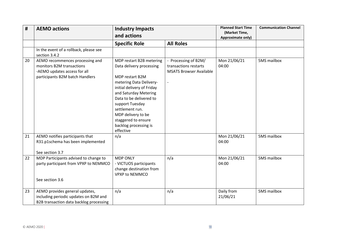| #  | <b>AEMO actions</b>                                                                                                             | <b>Industry Impacts</b><br>and actions                                                                                                                                                                                                                                                                        |                                                                                 | <b>Planned Start Time</b><br>(Market Time,<br>Approximate only) | <b>Communication Channel</b> |
|----|---------------------------------------------------------------------------------------------------------------------------------|---------------------------------------------------------------------------------------------------------------------------------------------------------------------------------------------------------------------------------------------------------------------------------------------------------------|---------------------------------------------------------------------------------|-----------------------------------------------------------------|------------------------------|
|    |                                                                                                                                 | <b>Specific Role</b>                                                                                                                                                                                                                                                                                          | <b>All Roles</b>                                                                |                                                                 |                              |
|    | In the event of a rollback, please see<br>section 3.4.2                                                                         |                                                                                                                                                                                                                                                                                                               |                                                                                 |                                                                 |                              |
| 20 | AEMO recommences processing and<br>monitors B2M transactions<br>-AEMO updates access for all<br>participants B2M batch Handlers | MDP restart B2B metering<br>Data delivery processing<br>MDP restart B2M<br>metering Data Delivery-<br>initial delivery of Friday<br>and Saturday Metering<br>Data to be delivered to<br>support Tuesday<br>settlement run.<br>MDP delivery to be<br>staggered to ensure<br>backlog processing is<br>effective | - Processing of B2M/<br>transactions restarts<br><b>MSATS Browser Available</b> | Mon 21/06/21<br>04:00                                           | 5MS mailbox                  |
| 21 | AEMO notifies participants that<br>R31.p1schema has been implemented<br>See section 3.7                                         | n/a                                                                                                                                                                                                                                                                                                           |                                                                                 | Mon 21/06/21<br>04:00                                           | 5MS mailbox                  |
| 22 | MDP Participants advised to change to<br>party participant from VPXP to NEMMCO<br>See section 3.6                               | <b>MDP ONLY</b><br>- VICTUOS participants<br>change destination from<br><b>VPXP to NEMMCO</b>                                                                                                                                                                                                                 | n/a                                                                             | Mon 21/06/21<br>04:00                                           | 5MS mailbox                  |
| 23 | AEMO provides general updates,<br>including periodic updates on B2M and<br>B2B transaction data backlog processing              | n/a                                                                                                                                                                                                                                                                                                           | n/a                                                                             | Daily from<br>21/06/21                                          | 5MS mailbox                  |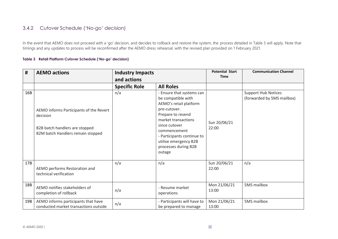#### 3.4.2 Cutover Schedule ('No-go' decision)

In the event that AEMO does not proceed with a 'go' decision, and decides to rollback and restore the system, the process detailed in Table 3 will apply. Note that timings and any updates to process will be reconfirmed after the AEMO dress rehearsal, with the revised plan provided on 1 February 2021.

#### **Table 3 Retail Platform Cutover Schedule ('No-go' decision)**

<span id="page-19-0"></span>

| #   | <b>AEMO actions</b>                                                                                                        | <b>Industry Impacts</b><br>and actions |                                                                                                                                                                                                                                                                 | <b>Potential Start</b><br><b>Time</b> | <b>Communication Channel</b>                             |
|-----|----------------------------------------------------------------------------------------------------------------------------|----------------------------------------|-----------------------------------------------------------------------------------------------------------------------------------------------------------------------------------------------------------------------------------------------------------------|---------------------------------------|----------------------------------------------------------|
|     |                                                                                                                            | <b>Specific Role</b>                   | <b>All Roles</b>                                                                                                                                                                                                                                                |                                       |                                                          |
| 16B | AEMO informs Participants of the Revert<br>decision<br>B2B batch handlers are stopped<br>B2M batch Handlers remain stopped | n/a                                    | - Ensure that systems can<br>be compatible with<br>AEMO's retail platform<br>pre-cutover.<br>Prepare to resend<br>market transactions<br>since cutover<br>commencement<br>- Participants continue to<br>utilise emergency B2B<br>processes during B2B<br>outage | Sun 20/06/21<br>22:00                 | <b>Support Hub Notices</b><br>(forwarded by 5MS mailbox) |
| 17B | AEMO performs Restoration and<br>technical verification                                                                    | n/a                                    | n/a                                                                                                                                                                                                                                                             | Sun 20/06/21<br>22:00                 | n/a                                                      |
| 18B | AEMO notifies stakeholders of<br>completion of rollback                                                                    | n/a                                    | - Resume market<br>operations                                                                                                                                                                                                                                   | Mon 21/06/21<br>13:00                 | 5MS mailbox                                              |
| 19B | AEMO informs participants that have<br>conducted market transactions outside                                               | n/a                                    | - Participants will have to<br>be prepared to manage                                                                                                                                                                                                            | Mon 21/06/21<br>13:00                 | 5MS mailbox                                              |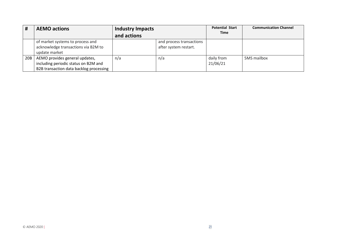| #               | <b>AEMO actions</b>                                                                                               | Industry Impacts |                                                   | <b>Potential Start</b> | <b>Communication Channel</b> |
|-----------------|-------------------------------------------------------------------------------------------------------------------|------------------|---------------------------------------------------|------------------------|------------------------------|
|                 |                                                                                                                   | and actions      |                                                   | <b>Time</b>            |                              |
|                 | of market systems to process and<br>acknowledge transactions via B2M to<br>update market                          |                  | and process transactions<br>after system restart. |                        |                              |
| 20 <sub>B</sub> | AEMO provides general updates,<br>including periodic status on B2M and<br>B2B transaction data backlog processing | n/a              | n/a                                               | daily from<br>21/06/21 | 5MS mailbox                  |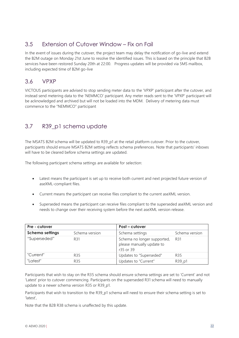## <span id="page-21-0"></span>3.5 Extension of Cutover Window – Fix on Fail

In the event of issues during the cutover, the project team may delay the notification of go-live and extend the B2M outage on Monday 21st June to resolve the identified issues. This is based on the principle that B2B services have been restored Sunday 20th at 22:00. Progress updates will be provided via 5MS mailbox, including expected time of B2M go-live

#### <span id="page-21-1"></span>3.6 VPXP

VICTOUS participants are advised to stop sending meter data to the 'VPXP' participant after the cutover, and instead send metering data to the 'NEMMCO' participant. Any meter reads sent to the 'VPXP' participant will be acknowledged and archived but will not be loaded into the MDM. Delivery of metering data must commence to the "NEMMCO" participant

### <span id="page-21-2"></span>3.7 R39\_p1 schema update

The MSATS B2M schema will be updated to R39\_p1 at the retail platform cutover. Prior to the cutover, participants should ensure MSATS B2M setting reflects schema preferences. Note that participants' inboxes will have to be cleared before schema settings are updated.

The following participant schema settings are available for selection:

- Latest means the participant is set up to receive both current and next projected future version of aseXML-compliant files.
- Current means the participant can receive files compliant to the current aseXML version.
- Superseded means the participant can receive files compliant to the superseded aseXML version and needs to change over their receiving system before the next aseXML version release.

| Pre - cutover          |                | Post – cutover                                                        |                |  |  |
|------------------------|----------------|-----------------------------------------------------------------------|----------------|--|--|
| <b>Schema settings</b> | Schema version | Schema settings                                                       | Schema version |  |  |
| "Superseded"           | R31            | Schema no longer supported,<br>please manually update to<br>r35 or 39 | R31            |  |  |
| "Current"              | <b>R35</b>     | Updates to "Superseded"                                               | R35            |  |  |
| "Latest"               | R35            | Updates to "Current"                                                  | R39_p1         |  |  |

Participants that wish to stay on the R35 schema should ensure schema settings are set to 'Current' and not 'Latest' prior to cutover commencing. Participants on the superseded R31 schema will need to manually update to a newer schema version R35 or R39\_p1.

Participants that wish to transition to the R39 p1 schema will need to ensure their schema setting is set to 'latest',

Note that the B2B R38 schema is unaffected by this update.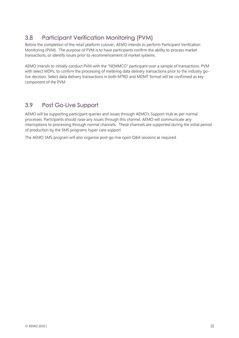# <span id="page-22-0"></span>3.8 Participant Verification Monitoring (PVM)

Before the completion of the retail platform cutover, AEMO intends to perform Participant Verification Monitoring (PVM). The purpose of PVM is to have participants confirm the ability to process market transactions, or identify issues prior to recommencement of market systems.

AEMO intends to initially conduct PVM with the "NEMMCO" participant over a sample of transactions. PVM with select MDPs, to confirm the processing of metering data delivery transactions prior to the industry golive decision. Select data delivery transactions in both MTRD and MDMT format will be confirmed as key component of the PVM

### <span id="page-22-1"></span>3.9 Post Go-Live Support

AEMO will be supporting participant queries and issues through AEMO's Support Hub as per normal processes. Participants should raise any issues through this channel. AEMO will communicate any interruptions to processing through normal channels. These channels are supported during the initial period of production by the 5MS programs hyper care support

The AEMO 5MS program will also organise post-go-live open Q&A sessions as required.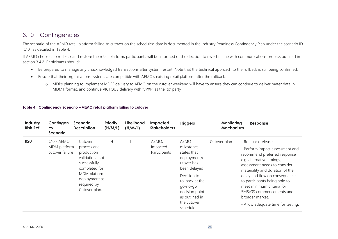### 3.10 Contingencies

The scenario of the AEMO retail platform failing to cutover on the scheduled date is documented in the Industry Readiness Contingency Plan under the scenario ID 'C10', as detailed in Table 4.

If AEMO chooses to rollback and restore the retail platform, participants will be informed of the decision to revert in line with communications process outlined in section 3.4.2. Participants should:

- Be prepared to manage any unacknowledged transactions after system restart. Note that the technical approach to the rollback is still being confirmed.
- Ensure that their organisations systems are compatible with AEMO's existing retail platform after the rollback.
	- o MDPs planning to implement MDFF delivery to AEMO on the cutover weekend will have to ensure they can continue to deliver meter data in MDMT format, and continue VICTOUS delivery with 'VPXP' as the 'to' party

#### **Table 4 Contingency Scenario – AEMO retail platform failing to cutover**

<span id="page-23-1"></span><span id="page-23-0"></span>

| Industry<br><b>Risk Ref</b> | Contingen<br><b>CY</b><br>Scenario              | <b>Scenario</b><br><b>Description</b>                                                                                                                     | <b>Priority</b><br>(H/M/L) | Likelihood<br>(H/M/L) | <b>Impacted</b><br><b>Stakeholders</b> | <b>Triggers</b>                                                                                                                                                                                     | Monitoring<br>Mechanism | Response                                                                                                                                                                                                                                                                                                                                                                    |
|-----------------------------|-------------------------------------------------|-----------------------------------------------------------------------------------------------------------------------------------------------------------|----------------------------|-----------------------|----------------------------------------|-----------------------------------------------------------------------------------------------------------------------------------------------------------------------------------------------------|-------------------------|-----------------------------------------------------------------------------------------------------------------------------------------------------------------------------------------------------------------------------------------------------------------------------------------------------------------------------------------------------------------------------|
| <b>R20</b>                  | $C10 - AEMO$<br>MDM platform<br>cutover failure | Cutover<br>process and<br>production<br>validations not<br>successfully<br>completed for<br>MDM platform<br>deployment as<br>required by<br>Cutover plan. | H.                         |                       | AEMO,<br>Impacted<br>Participants      | <b>AEMO</b><br>milestones<br>states that<br>deployment/c<br>utover has<br>been delayed<br>Decision to<br>rollback at the<br>go/no-go<br>decision point<br>as outlined in<br>the cutover<br>schedule | Cutover plan            | - Roll back release<br>- Perform impact assessment and<br>recommend preferred response<br>e.g. alternative timings,<br>assessment needs to consider<br>materiality and duration of the<br>delay and flow on consequences<br>to participants being able to<br>meet minimum criteria for<br>5MS/GS commencements and<br>broader market.<br>- Allow adequate time for testing. |